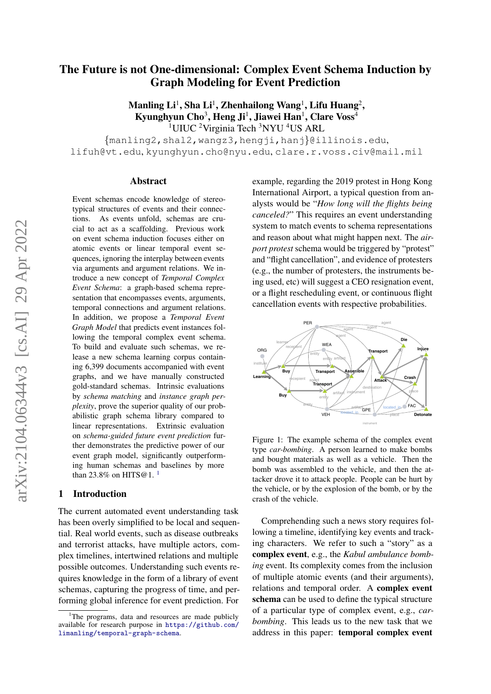# The Future is not One-dimensional: Complex Event Schema Induction by Graph Modeling for Event Prediction

 $\mathbf M$ anling  $\mathbf {Li}^1, \mathbf S$ ha  $\mathbf {Li}^1, \mathbf Z$ henhailong  $\mathbf W$ ang $^1, \mathbf L$ ifu  $\mathbf H$ uang $^2,$ Kyunghyun Cho $^3$ , Heng Ji $^1$ , Jiawei Han $^1$ , Clare Voss $^4$ <sup>1</sup>UIUC <sup>2</sup>Virginia Tech <sup>3</sup>NYU <sup>4</sup>US ARL

{manling2,shal2,wangz3,hengji,hanj}@illinois.edu, lifuh@vt.edu, kyunghyun.cho@nyu.edu, clare.r.voss.civ@mail.mil

#### Abstract

Event schemas encode knowledge of stereotypical structures of events and their connections. As events unfold, schemas are crucial to act as a scaffolding. Previous work on event schema induction focuses either on atomic events or linear temporal event sequences, ignoring the interplay between events via arguments and argument relations. We introduce a new concept of *Temporal Complex Event Schema*: a graph-based schema representation that encompasses events, arguments, temporal connections and argument relations. In addition, we propose a *Temporal Event Graph Model* that predicts event instances following the temporal complex event schema. To build and evaluate such schemas, we release a new schema learning corpus containing 6,399 documents accompanied with event graphs, and we have manually constructed gold-standard schemas. Intrinsic evaluations by *schema matching* and *instance graph perplexity*, prove the superior quality of our probabilistic graph schema library compared to linear representations. Extrinsic evaluation on *schema-guided future event prediction* further demonstrates the predictive power of our event graph model, significantly outperforming human schemas and baselines by more than 23.8% on HITS@[1](#page-0-0).<sup>1</sup>

# 1 Introduction

The current automated event understanding task has been overly simplified to be local and sequential. Real world events, such as disease outbreaks and terrorist attacks, have multiple actors, complex timelines, intertwined relations and multiple possible outcomes. Understanding such events requires knowledge in the form of a library of event schemas, capturing the progress of time, and performing global inference for event prediction. For

example, regarding the 2019 protest in Hong Kong International Airport, a typical question from analysts would be "*How long will the flights being canceled?*" This requires an event understanding system to match events to schema representations and reason about what might happen next. The *airport protest* schema would be triggered by "protest" and "flight cancellation", and evidence of protesters (e.g., the number of protesters, the instruments being used, etc) will suggest a CEO resignation event, or a flight rescheduling event, or continuous flight cancellation events with respective probabilities.

<span id="page-0-1"></span>

Figure 1: The example schema of the complex event type *car-bombing*. A person learned to make bombs and bought materials as well as a vehicle. Then the bomb was assembled to the vehicle, and then the attacker drove it to attack people. People can be hurt by the vehicle, or by the explosion of the bomb, or by the crash of the vehicle.

Comprehending such a news story requires following a timeline, identifying key events and tracking characters. We refer to such a "story" as a complex event, e.g., the *Kabul ambulance bombing* event. Its complexity comes from the inclusion of multiple atomic events (and their arguments), relations and temporal order. A complex event schema can be used to define the typical structure of a particular type of complex event, e.g., *carbombing*. This leads us to the new task that we address in this paper: temporal complex event

<span id="page-0-0"></span><sup>&</sup>lt;sup>1</sup>The programs, data and resources are made publicly available for research purpose in [https://github.com/](https://github.com/limanling/temporal-graph-schema) [limanling/temporal-graph-schema](https://github.com/limanling/temporal-graph-schema).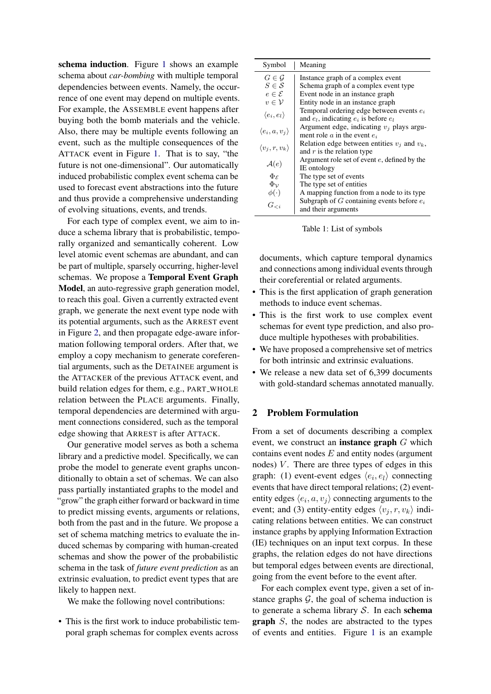schema induction. Figure [1](#page-0-1) shows an example schema about *car-bombing* with multiple temporal dependencies between events. Namely, the occurrence of one event may depend on multiple events. For example, the ASSEMBLE event happens after buying both the bomb materials and the vehicle. Also, there may be multiple events following an event, such as the multiple consequences of the ATTACK event in Figure [1.](#page-0-1) That is to say, "the future is not one-dimensional". Our automatically induced probabilistic complex event schema can be used to forecast event abstractions into the future and thus provide a comprehensive understanding of evolving situations, events, and trends.

For each type of complex event, we aim to induce a schema library that is probabilistic, temporally organized and semantically coherent. Low level atomic event schemas are abundant, and can be part of multiple, sparsely occurring, higher-level schemas. We propose a Temporal Event Graph Model, an auto-regressive graph generation model, to reach this goal. Given a currently extracted event graph, we generate the next event type node with its potential arguments, such as the ARREST event in Figure [2,](#page-2-0) and then propagate edge-aware information following temporal orders. After that, we employ a copy mechanism to generate coreferential arguments, such as the DETAINEE argument is the ATTACKER of the previous ATTACK event, and build relation edges for them, e.g., PART WHOLE relation between the PLACE arguments. Finally, temporal dependencies are determined with argument connections considered, such as the temporal edge showing that ARREST is after ATTACK.

Our generative model serves as both a schema library and a predictive model. Specifically, we can probe the model to generate event graphs unconditionally to obtain a set of schemas. We can also pass partially instantiated graphs to the model and "grow" the graph either forward or backward in time to predict missing events, arguments or relations, both from the past and in the future. We propose a set of schema matching metrics to evaluate the induced schemas by comparing with human-created schemas and show the power of the probabilistic schema in the task of *future event prediction* as an extrinsic evaluation, to predict event types that are likely to happen next.

We make the following novel contributions:

• This is the first work to induce probabilistic temporal graph schemas for complex events across

| Symbol                        | Meaning                                          |
|-------------------------------|--------------------------------------------------|
| $G \in \mathcal{G}$           | Instance graph of a complex event                |
| $S \in \mathcal{S}$           | Schema graph of a complex event type             |
| $e \in \mathcal{E}$           | Event node in an instance graph                  |
| $v\in\mathcal{V}$             | Entity node in an instance graph                 |
| $\langle e_i, e_l \rangle$    | Temporal ordering edge between events $e_i$      |
|                               | and $e_l$ , indicating $e_i$ is before $e_l$     |
| $\langle e_i, a, v_j \rangle$ | Argument edge, indicating $v_j$ plays argu-      |
|                               | ment role $a$ in the event $e_i$                 |
| $\langle v_j, r, v_k \rangle$ | Relation edge between entities $v_i$ and $v_k$ , |
|                               | and $r$ is the relation type                     |
| $\mathcal{A}(e)$              | Argument role set of event e, defined by the     |
|                               | IE ontology                                      |
| $\Phi_{\mathcal{E}}$          | The type set of events                           |
| $\Phi_{\mathcal{V}}$          | The type set of entities                         |
| $\phi(\cdot)$                 | A mapping function from a node to its type       |
| $G_{< i}$                     | Subgraph of G containing events before $e_i$     |
|                               | and their arguments                              |

Table 1: List of symbols

documents, which capture temporal dynamics and connections among individual events through their coreferential or related arguments.

- This is the first application of graph generation methods to induce event schemas.
- This is the first work to use complex event schemas for event type prediction, and also produce multiple hypotheses with probabilities.
- We have proposed a comprehensive set of metrics for both intrinsic and extrinsic evaluations.
- We release a new data set of 6,399 documents with gold-standard schemas annotated manually.

# 2 Problem Formulation

From a set of documents describing a complex event, we construct an **instance graph**  $G$  which contains event nodes  $E$  and entity nodes (argument nodes)  $V$ . There are three types of edges in this graph: (1) event-event edges  $\langle e_i, e_l \rangle$  connecting events that have direct temporal relations; (2) evententity edges  $\langle e_i, a, v_j \rangle$  connecting arguments to the event; and (3) entity-entity edges  $\langle v_i, r, v_k \rangle$  indicating relations between entities. We can construct instance graphs by applying Information Extraction (IE) techniques on an input text corpus. In these graphs, the relation edges do not have directions but temporal edges between events are directional, going from the event before to the event after.

For each complex event type, given a set of instance graphs  $G$ , the goal of schema induction is to generate a schema library  $S$ . In each schema graph S, the nodes are abstracted to the types of events and entities. Figure [1](#page-0-1) is an example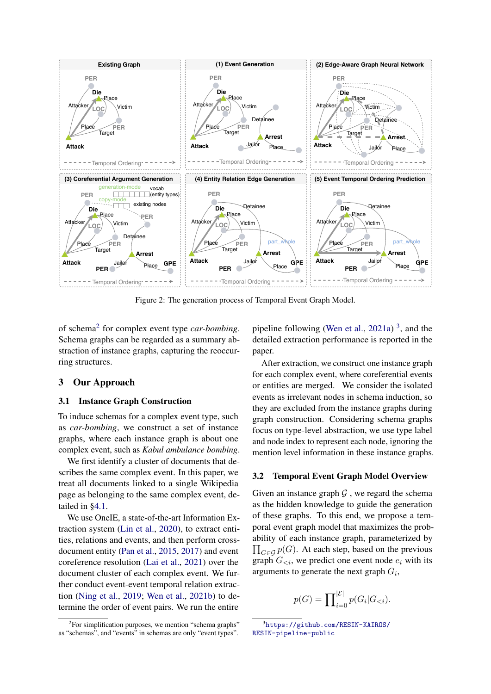<span id="page-2-0"></span>

Figure 2: The generation process of Temporal Event Graph Model.

of schema[2](#page-2-1) for complex event type *car-bombing*. Schema graphs can be regarded as a summary abstraction of instance graphs, capturing the reoccurring structures.

# 3 Our Approach

#### 3.1 Instance Graph Construction

To induce schemas for a complex event type, such as *car-bombing*, we construct a set of instance graphs, where each instance graph is about one complex event, such as *Kabul ambulance bombing*.

We first identify a cluster of documents that describes the same complex event. In this paper, we treat all documents linked to a single Wikipedia page as belonging to the same complex event, detailed in [§4.1.](#page-4-0)

We use OneIE, a state-of-the-art Information Extraction system [\(Lin et al.,](#page-10-0) [2020\)](#page-10-0), to extract entities, relations and events, and then perform crossdocument entity [\(Pan et al.,](#page-10-1) [2015,](#page-10-1) [2017\)](#page-11-0) and event coreference resolution [\(Lai et al.,](#page-9-0) [2021\)](#page-9-0) over the document cluster of each complex event. We further conduct event-event temporal relation extraction [\(Ning et al.,](#page-10-2) [2019;](#page-10-2) [Wen et al.,](#page-11-1) [2021b\)](#page-11-1) to determine the order of event pairs. We run the entire

pipeline following [\(Wen et al.,](#page-11-2)  $2021a$ )<sup>[3](#page-2-2)</sup>, and the detailed extraction performance is reported in the paper.

After extraction, we construct one instance graph for each complex event, where coreferential events or entities are merged. We consider the isolated events as irrelevant nodes in schema induction, so they are excluded from the instance graphs during graph construction. Considering schema graphs focus on type-level abstraction, we use type label and node index to represent each node, ignoring the mention level information in these instance graphs.

# 3.2 Temporal Event Graph Model Overview

Given an instance graph  $G$ , we regard the schema as the hidden knowledge to guide the generation of these graphs. To this end, we propose a temporal event graph model that maximizes the probability of each instance graph, parameterized by  $\prod_{G \in \mathcal{G}} p(G)$ . At each step, based on the previous graph  $G_{\leq i}$ , we predict one event node  $e_i$  with its arguments to generate the next graph  $G_i$ ,

$$
p(G) = \prod_{i=0}^{|\mathcal{E}|} p(G_i | G_{< i}).
$$

<span id="page-2-1"></span><sup>&</sup>lt;sup>2</sup>For simplification purposes, we mention "schema graphs" as "schemas", and "events" in schemas are only "event types".

<span id="page-2-2"></span><sup>3</sup> [https://github.com/RESIN-KAIROS/](https://github.com/RESIN-KAIROS/RESIN-pipeline-public) [RESIN-pipeline-public](https://github.com/RESIN-KAIROS/RESIN-pipeline-public)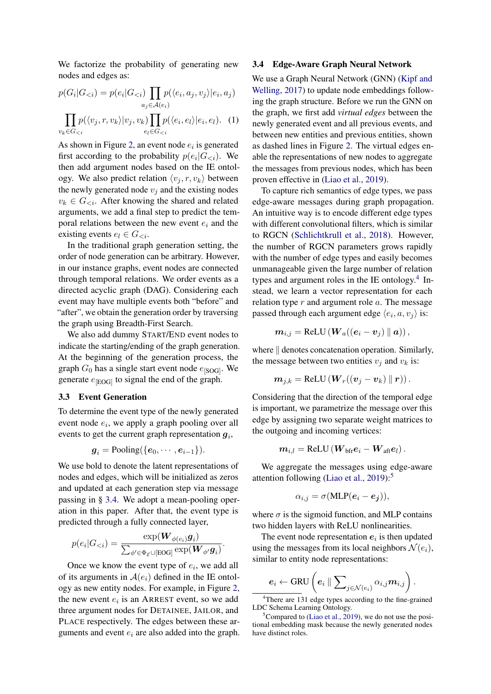We factorize the probability of generating new nodes and edges as:

$$
p(G_i|G_{< i}) = p(e_i|G_{< i}) \prod_{a_j \in \mathcal{A}(e_i)} p(\langle e_i, a_j, v_j \rangle | e_i, a_j)
$$

$$
\prod_{v_k \in G_{< i}} p(\langle v_j, r, v_k \rangle | v_j, v_k) \prod_{e_l \in G_{< i}} p(\langle e_i, e_l \rangle | e_i, e_l). \quad (1)
$$

As shown in Figure [2,](#page-2-0) an event node  $e_i$  is generated first according to the probability  $p(e_i|G_{\leq i})$ . We then add argument nodes based on the IE ontology. We also predict relation  $\langle v_i, r, v_k \rangle$  between the newly generated node  $v_j$  and the existing nodes  $v_k \in G_{\leq i}$ . After knowing the shared and related arguments, we add a final step to predict the temporal relations between the new event  $e_i$  and the existing events  $e_l \in G_{\leq i}$ .

In the traditional graph generation setting, the order of node generation can be arbitrary. However, in our instance graphs, event nodes are connected through temporal relations. We order events as a directed acyclic graph (DAG). Considering each event may have multiple events both "before" and "after", we obtain the generation order by traversing the graph using Breadth-First Search.

We also add dummy START/END event nodes to indicate the starting/ending of the graph generation. At the beginning of the generation process, the graph  $G_0$  has a single start event node  $e_{\text{[SOG]}}$ . We generate  $e_{[EOG]}$  to signal the end of the graph.

#### 3.3 Event Generation

To determine the event type of the newly generated event node  $e_i$ , we apply a graph pooling over all events to get the current graph representation  $g_i$ ,

$$
\boldsymbol{g}_i = \text{Pooling}(\{\boldsymbol{e}_0,\cdots,\boldsymbol{e}_{i-1}\}).
$$

We use bold to denote the latent representations of nodes and edges, which will be initialized as zeros and updated at each generation step via message passing in § [3.4.](#page-3-0) We adopt a mean-pooling operation in this paper. After that, the event type is predicted through a fully connected layer,

$$
p(e_i|G_{< i}) = \frac{\exp(\boldsymbol{W}_{\phi(e_i)}\boldsymbol{g}_i)}{\sum_{\phi' \in \Phi_{\mathcal{E}} \cup [\text{EOG}]} \exp(\boldsymbol{W}_{\phi'}\boldsymbol{g}_i)}.
$$

Once we know the event type of  $e_i$ , we add all of its arguments in  $A(e_i)$  defined in the IE ontology as new entity nodes. For example, in Figure [2,](#page-2-0) the new event  $e_i$  is an ARREST event, so we add three argument nodes for DETAINEE, JAILOR, and PLACE respectively. The edges between these arguments and event  $e_i$  are also added into the graph.

#### <span id="page-3-0"></span>3.4 Edge-Aware Graph Neural Network

We use a Graph Neural Network (GNN) [\(Kipf and](#page-9-1) [Welling,](#page-9-1) [2017\)](#page-9-1) to update node embeddings following the graph structure. Before we run the GNN on the graph, we first add *virtual edges* between the newly generated event and all previous events, and between new entities and previous entities, shown as dashed lines in Figure [2.](#page-2-0) The virtual edges enable the representations of new nodes to aggregate the messages from previous nodes, which has been proven effective in [\(Liao et al.,](#page-10-3) [2019\)](#page-10-3).

To capture rich semantics of edge types, we pass edge-aware messages during graph propagation. An intuitive way is to encode different edge types with different convolutional filters, which is similar to RGCN [\(Schlichtkrull et al.,](#page-11-3) [2018\)](#page-11-3). However, the number of RGCN parameters grows rapidly with the number of edge types and easily becomes unmanageable given the large number of relation types and argument roles in the IE ontology.<sup>[4](#page-3-1)</sup> Instead, we learn a vector representation for each relation type  $r$  and argument role  $a$ . The message passed through each argument edge  $\langle e_i, a, v_j \rangle$  is:

$$
\boldsymbol{m}_{i,j} = \text{ReLU}\left(\boldsymbol{W}_{a}((\boldsymbol{e}_{i} - \boldsymbol{v}_{j}) \parallel \boldsymbol{a})\right),
$$

where  $\parallel$  denotes concatenation operation. Similarly, the message between two entities  $v_i$  and  $v_k$  is:

$$
\boldsymbol{m}_{j,k}=\text{ReLU}\left(\boldsymbol{W}_r((\boldsymbol{v}_j-\boldsymbol{v}_k)\ \|\ \boldsymbol{r})\right).
$$

Considering that the direction of the temporal edge is important, we parametrize the message over this edge by assigning two separate weight matrices to the outgoing and incoming vertices:

$$
\boldsymbol{m}_{i,l}=\text{ReLU}\left(\boldsymbol{W}_{\text{bfr}}\boldsymbol{e}_{i}-\boldsymbol{W}_{\text{aft}}\boldsymbol{e}_{l}\right).
$$

We aggregate the messages using edge-aware attention following [\(Liao et al.,](#page-10-3)  $2019$ ):<sup>[5](#page-3-2)</sup>

$$
\alpha_{i,j} = \sigma(\text{MLP}(e_i - e_j)),
$$

where  $\sigma$  is the sigmoid function, and MLP contains two hidden layers with ReLU nonlinearities.

The event node representation  $e_i$  is then updated using the messages from its local neighbors  $\mathcal{N}(e_i)$ , similar to entity node representations:

$$
\underbrace{e_i \leftarrow \text{GRU}}\left(e_i \mathbin\Vert \sum\nolimits_{j \in \mathcal{N}(e_i)} \alpha_{i,j} \bm{m}_{i,j}\right).
$$

<span id="page-3-1"></span><sup>4</sup>There are 131 edge types according to the fine-grained LDC Schema Learning Ontology.

<span id="page-3-2"></span> ${}^5$ Compared to [\(Liao et al.,](#page-10-3) [2019\)](#page-10-3), we do not use the positional embedding mask because the newly generated nodes have distinct roles.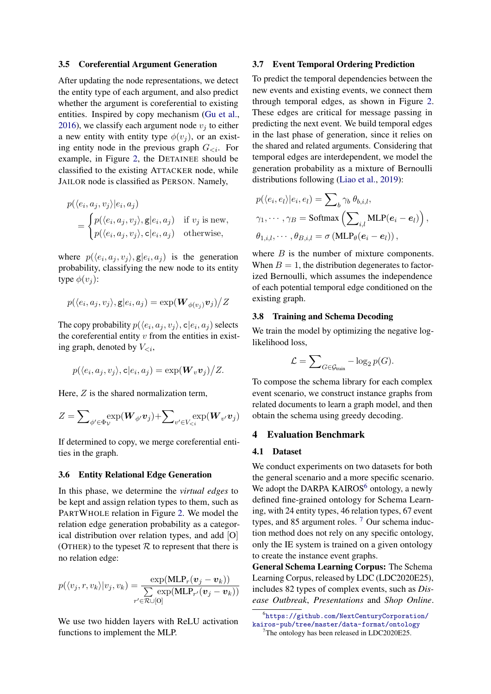#### <span id="page-4-3"></span>3.5 Coreferential Argument Generation

After updating the node representations, we detect the entity type of each argument, and also predict whether the argument is coreferential to existing entities. Inspired by copy mechanism [\(Gu et al.,](#page-9-2) [2016\)](#page-9-2), we classify each argument node  $v_i$  to either a new entity with entity type  $\phi(v_i)$ , or an existing entity node in the previous graph  $G_{\leq i}$ . For example, in Figure [2,](#page-2-0) the DETAINEE should be classified to the existing ATTACKER node, while JAILOR node is classified as PERSON. Namely,

$$
p(\langle e_i, a_j, v_j \rangle | e_i, a_j)
$$
  
= 
$$
\begin{cases} p(\langle e_i, a_j, v_j \rangle, \mathbf{g} | e_i, a_j) & \text{if } v_j \text{ is new,} \\ p(\langle e_i, a_j, v_j \rangle, \mathbf{c} | e_i, a_j) & \text{otherwise,} \end{cases}
$$

where  $p(\langle e_i, a_j, v_j \rangle, g|e_i, a_j)$  is the generation probability, classifying the new node to its entity type  $\phi(v_i)$ :

$$
p(\langle e_i, a_j, v_j \rangle, \mathbf{g} | e_i, a_j) = \exp(\boldsymbol{W}_{\phi(v_j)} \boldsymbol{v}_j) / Z
$$

The copy probability  $p(\langle e_i, a_j, v_j \rangle, \mathsf{c}|e_i, a_j)$  selects the coreferential entity  $v$  from the entities in existing graph, denoted by  $V_{\leq i}$ ,

$$
p(\langle e_i, a_j, v_j \rangle, \mathsf{c} | e_i, a_j) = \exp(\mathbf{W}_v \mathbf{v}_j) / Z.
$$

Here,  $Z$  is the shared normalization term,

$$
Z = \sum\nolimits_{\phi' \in \Phi_{\mathcal{V}}} \exp(\boldsymbol{W}_{\phi'} \boldsymbol{v}_j) + \sum\nolimits_{v' \in V_{\leq i}} \exp(\boldsymbol{W}_{v'} \boldsymbol{v}_j)
$$

If determined to copy, we merge coreferential entities in the graph.

## <span id="page-4-4"></span>3.6 Entity Relational Edge Generation

In this phase, we determine the *virtual edges* to be kept and assign relation types to them, such as PARTWHOLE relation in Figure [2.](#page-2-0) We model the relation edge generation probability as a categorical distribution over relation types, and add [O] (OTHER) to the typeset  $R$  to represent that there is no relation edge:

$$
p(\langle v_j, r, v_k \rangle | v_j, v_k) = \frac{\exp(\text{MLP}_r(\boldsymbol{v}_j - \boldsymbol{v}_k))}{\sum\limits_{r' \in \mathcal{R} \cup [\text{O}]} \exp(\text{MLP}_{r'}(\boldsymbol{v}_j - \boldsymbol{v}_k))}
$$

We use two hidden layers with ReLU activation functions to implement the MLP.

## 3.7 Event Temporal Ordering Prediction

To predict the temporal dependencies between the new events and existing events, we connect them through temporal edges, as shown in Figure [2.](#page-2-0) These edges are critical for message passing in predicting the next event. We build temporal edges in the last phase of generation, since it relies on the shared and related arguments. Considering that temporal edges are interdependent, we model the generation probability as a mixture of Bernoulli distributions following [\(Liao et al.,](#page-10-3) [2019\)](#page-10-3):

$$
p(\langle e_i, e_l \rangle | e_i, e_l) = \sum_b \gamma_b \theta_{b,i,l},
$$
  
\n
$$
\gamma_1, \dots, \gamma_B = \text{Softmax}\left(\sum_{i,l} \text{MLP}(e_i - e_l)\right),
$$
  
\n
$$
\theta_{1,i,l}, \dots, \theta_{B,i,l} = \sigma \left(\text{MLP}_{\theta}(e_i - e_l)\right),
$$

where  $B$  is the number of mixture components. When  $B = 1$ , the distribution degenerates to factorized Bernoulli, which assumes the independence of each potential temporal edge conditioned on the existing graph.

#### 3.8 Training and Schema Decoding

We train the model by optimizing the negative loglikelihood loss,

$$
\mathcal{L} = \sum_{G \in \mathcal{G}_{\text{train}}} -\log_2 p(G).
$$

To compose the schema library for each complex event scenario, we construct instance graphs from related documents to learn a graph model, and then obtain the schema using greedy decoding.

#### 4 Evaluation Benchmark

#### <span id="page-4-0"></span>4.1 Dataset

We conduct experiments on two datasets for both the general scenario and a more specific scenario. We adopt the DARPA KAIROS $<sup>6</sup>$  $<sup>6</sup>$  $<sup>6</sup>$  ontology, a newly</sup> defined fine-grained ontology for Schema Learning, with 24 entity types, 46 relation types, 67 event types, and 85 argument roles.<sup>[7](#page-4-2)</sup> Our schema induction method does not rely on any specific ontology, only the IE system is trained on a given ontology to create the instance event graphs.

General Schema Learning Corpus: The Schema Learning Corpus, released by LDC (LDC2020E25), includes 82 types of complex events, such as *Disease Outbreak*, *Presentations* and *Shop Online*.

<span id="page-4-1"></span><sup>6</sup> [https://github.com/NextCenturyCorporation/](https://github.com/NextCenturyCorporation/kairos-pub/tree/master/data-format/ontology) [kairos-pub/tree/master/data-format/ontology](https://github.com/NextCenturyCorporation/kairos-pub/tree/master/data-format/ontology)

<span id="page-4-2"></span><sup>&</sup>lt;sup>7</sup>The ontology has been released in LDC2020E25.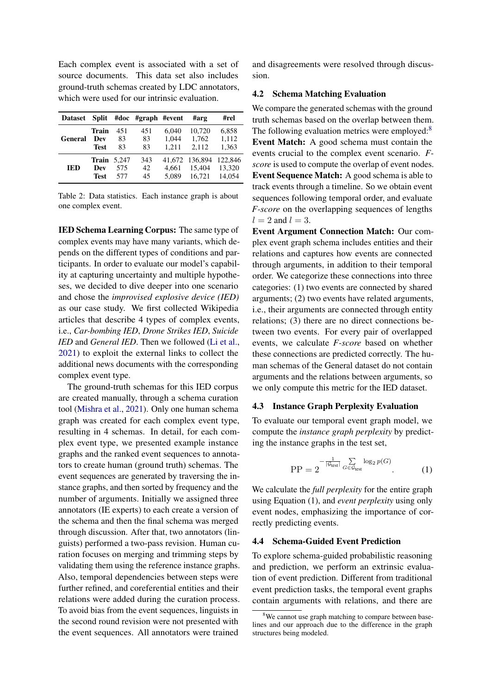Each complex event is associated with a set of source documents. This data set also includes ground-truth schemas created by LDC annotators, which were used for our intrinsic evaluation.

| <b>Dataset</b> | Split                                    |                 | #doc #graph #event |                         | #arg                               | #rel                        |
|----------------|------------------------------------------|-----------------|--------------------|-------------------------|------------------------------------|-----------------------------|
| General        | Train<br>Dev<br><b>Test</b>              | 451<br>83<br>83 | 451<br>83<br>83    | 6.040<br>1,044<br>1.211 | 10,720<br>1,762<br>2.112           | 6,858<br>1,112<br>1,363     |
| <b>IED</b>     | <b>Train</b> 5,247<br>Dev<br><b>Test</b> | 575<br>577      | 343<br>42<br>45    | 4.661<br>5.089          | 41,672 136,894<br>15,404<br>16.721 | 122,846<br>13,320<br>14.054 |

Table 2: Data statistics. Each instance graph is about one complex event.

IED Schema Learning Corpus: The same type of complex events may have many variants, which depends on the different types of conditions and participants. In order to evaluate our model's capability at capturing uncertainty and multiple hypotheses, we decided to dive deeper into one scenario and chose the *improvised explosive device (IED)* as our case study. We first collected Wikipedia articles that describe 4 types of complex events, i.e., *Car-bombing IED*, *Drone Strikes IED*, *Suicide IED* and *General IED*. Then we followed [\(Li et al.,](#page-9-3) [2021\)](#page-9-3) to exploit the external links to collect the additional news documents with the corresponding complex event type.

The ground-truth schemas for this IED corpus are created manually, through a schema curation tool [\(Mishra et al.,](#page-10-4) [2021\)](#page-10-4). Only one human schema graph was created for each complex event type, resulting in 4 schemas. In detail, for each complex event type, we presented example instance graphs and the ranked event sequences to annotators to create human (ground truth) schemas. The event sequences are generated by traversing the instance graphs, and then sorted by frequency and the number of arguments. Initially we assigned three annotators (IE experts) to each create a version of the schema and then the final schema was merged through discussion. After that, two annotators (linguists) performed a two-pass revision. Human curation focuses on merging and trimming steps by validating them using the reference instance graphs. Also, temporal dependencies between steps were further refined, and coreferential entities and their relations were added during the curation process. To avoid bias from the event sequences, linguists in the second round revision were not presented with the event sequences. All annotators were trained and disagreements were resolved through discussion.

# 4.2 Schema Matching Evaluation

We compare the generated schemas with the ground truth schemas based on the overlap between them. The following evaluation metrics were employed:<sup>[8](#page-5-0)</sup> Event Match: A good schema must contain the events crucial to the complex event scenario. *Fscore* is used to compute the overlap of event nodes. Event Sequence Match: A good schema is able to track events through a timeline. So we obtain event sequences following temporal order, and evaluate *F-score* on the overlapping sequences of lengths  $l = 2$  and  $l = 3$ .

Event Argument Connection Match: Our complex event graph schema includes entities and their relations and captures how events are connected through arguments, in addition to their temporal order. We categorize these connections into three categories: (1) two events are connected by shared arguments; (2) two events have related arguments, i.e., their arguments are connected through entity relations; (3) there are no direct connections between two events. For every pair of overlapped events, we calculate *F-score* based on whether these connections are predicted correctly. The human schemas of the General dataset do not contain arguments and the relations between arguments, so we only compute this metric for the IED dataset.

### 4.3 Instance Graph Perplexity Evaluation

To evaluate our temporal event graph model, we compute the *instance graph perplexity* by predicting the instance graphs in the test set,

$$
PP = 2^{-\frac{1}{|\mathcal{G}_{\text{test}}|}} \sum_{G \in \mathcal{G}_{\text{test}}} \log_2 p(G)
$$
 (1)

We calculate the *full perplexity* for the entire graph using Equation (1), and *event perplexity* using only event nodes, emphasizing the importance of correctly predicting events.

#### 4.4 Schema-Guided Event Prediction

To explore schema-guided probabilistic reasoning and prediction, we perform an extrinsic evaluation of event prediction. Different from traditional event prediction tasks, the temporal event graphs contain arguments with relations, and there are

<span id="page-5-0"></span><sup>&</sup>lt;sup>8</sup>We cannot use graph matching to compare between baselines and our approach due to the difference in the graph structures being modeled.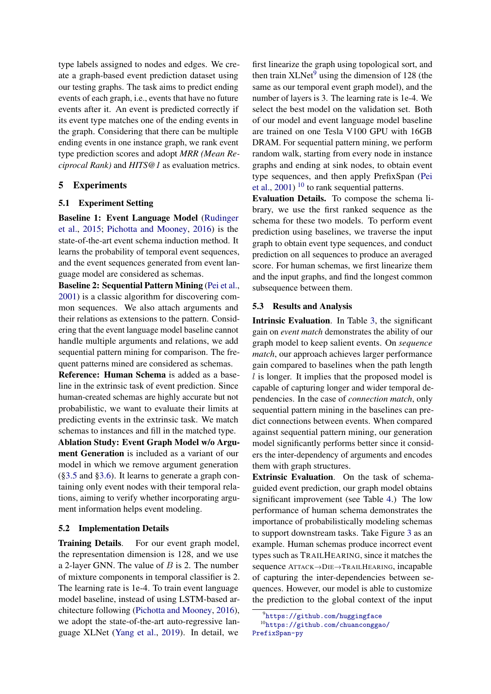type labels assigned to nodes and edges. We create a graph-based event prediction dataset using our testing graphs. The task aims to predict ending events of each graph, i.e., events that have no future events after it. An event is predicted correctly if its event type matches one of the ending events in the graph. Considering that there can be multiple ending events in one instance graph, we rank event type prediction scores and adopt *MRR (Mean Reciprocal Rank)* and *HITS@1* as evaluation metrics.

# 5 Experiments

# 5.1 Experiment Setting

Baseline 1: Event Language Model [\(Rudinger](#page-11-4) [et al.,](#page-11-4) [2015;](#page-11-4) [Pichotta and Mooney,](#page-11-5) [2016\)](#page-11-5) is the state-of-the-art event schema induction method. It learns the probability of temporal event sequences, and the event sequences generated from event language model are considered as schemas.

Baseline 2: Sequential Pattern Mining [\(Pei et al.,](#page-11-6) [2001\)](#page-11-6) is a classic algorithm for discovering common sequences. We also attach arguments and their relations as extensions to the pattern. Considering that the event language model baseline cannot handle multiple arguments and relations, we add sequential pattern mining for comparison. The frequent patterns mined are considered as schemas.

Reference: Human Schema is added as a baseline in the extrinsic task of event prediction. Since human-created schemas are highly accurate but not probabilistic, we want to evaluate their limits at predicting events in the extrinsic task. We match schemas to instances and fill in the matched type. Ablation Study: Event Graph Model w/o Argument Generation is included as a variant of our model in which we remove argument generation ([§3.5](#page-4-3) and [§3.6\)](#page-4-4). It learns to generate a graph containing only event nodes with their temporal relations, aiming to verify whether incorporating argument information helps event modeling.

# 5.2 Implementation Details

Training Details. For our event graph model, the representation dimension is 128, and we use a 2-layer GNN. The value of  $B$  is 2. The number of mixture components in temporal classifier is 2. The learning rate is 1e-4. To train event language model baseline, instead of using LSTM-based architecture following [\(Pichotta and Mooney,](#page-11-5) [2016\)](#page-11-5), we adopt the state-of-the-art auto-regressive language XLNet [\(Yang et al.,](#page-11-7) [2019\)](#page-11-7). In detail, we

first linearize the graph using topological sort, and then train  $XLNet<sup>9</sup>$  $XLNet<sup>9</sup>$  $XLNet<sup>9</sup>$  using the dimension of 128 (the same as our temporal event graph model), and the number of layers is 3. The learning rate is 1e-4. We select the best model on the validation set. Both of our model and event language model baseline are trained on one Tesla V100 GPU with 16GB DRAM. For sequential pattern mining, we perform random walk, starting from every node in instance graphs and ending at sink nodes, to obtain event type sequences, and then apply PrefixSpan [\(Pei](#page-11-6) [et al.,](#page-11-6) [2001\)](#page-11-6)  $10$  to rank sequential patterns.

Evaluation Details. To compose the schema library, we use the first ranked sequence as the schema for these two models. To perform event prediction using baselines, we traverse the input graph to obtain event type sequences, and conduct prediction on all sequences to produce an averaged score. For human schemas, we first linearize them and the input graphs, and find the longest common subsequence between them.

# 5.3 Results and Analysis

Intrinsic Evaluation. In Table [3,](#page-7-0) the significant gain on *event match* demonstrates the ability of our graph model to keep salient events. On *sequence match*, our approach achieves larger performance gain compared to baselines when the path length l is longer. It implies that the proposed model is capable of capturing longer and wider temporal dependencies. In the case of *connection match*, only sequential pattern mining in the baselines can predict connections between events. When compared against sequential pattern mining, our generation model significantly performs better since it considers the inter-dependency of arguments and encodes them with graph structures.

Extrinsic Evaluation. On the task of schemaguided event prediction, our graph model obtains significant improvement (see Table [4.](#page-7-1)) The low performance of human schema demonstrates the importance of probabilistically modeling schemas to support downstream tasks. Take Figure [3](#page-7-2) as an example. Human schemas produce incorrect event types such as TRAILHEARING, since it matches the sequence ATTACK→DIE→TRAILHEARING, incapable of capturing the inter-dependencies between sequences. However, our model is able to customize the prediction to the global context of the input

<span id="page-6-1"></span><span id="page-6-0"></span><sup>9</sup> <https://github.com/huggingface>

<sup>10</sup>[https://github.com/chuanconggao/](https://github.com/chuanconggao/PrefixSpan-py) [PrefixSpan-py](https://github.com/chuanconggao/PrefixSpan-py)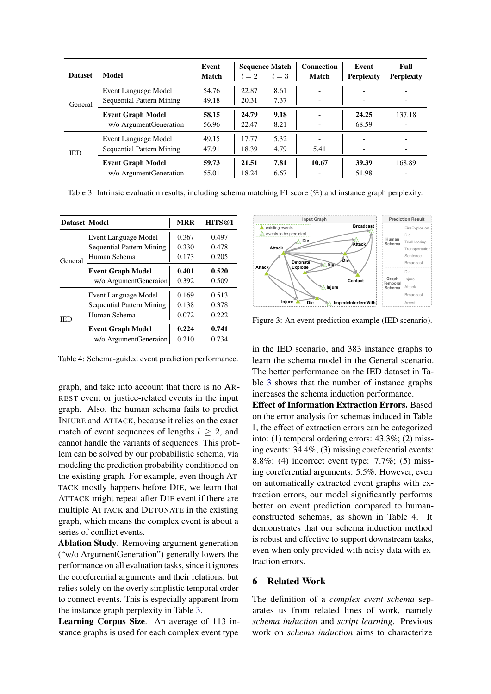<span id="page-7-0"></span>

| <b>Dataset</b> | Model                                              | Event<br>Match | $l=2$          | <b>Sequence Match</b><br>$l=3$ | <b>Connection</b><br><b>Match</b> | Event<br><b>Perplexity</b> | Full<br><b>Perplexity</b> |
|----------------|----------------------------------------------------|----------------|----------------|--------------------------------|-----------------------------------|----------------------------|---------------------------|
| General        | Event Language Model<br>Sequential Pattern Mining  | 54.76<br>49.18 | 22.87<br>20.31 | 8.61<br>7.37                   |                                   |                            |                           |
|                | <b>Event Graph Model</b>                           | 58.15          | 24.79          | 9.18                           | $\overline{\phantom{a}}$          | 24.25                      | -<br>137.18               |
|                | w/o ArgumentGeneration                             | 56.96          | 22.47          | 8.21                           |                                   | 68.59                      |                           |
| <b>IED</b>     | Event Language Model                               | 49.15          | 17.77          | 5.32                           |                                   |                            |                           |
|                | Sequential Pattern Mining                          | 47.91          | 18.39          | 4.79                           | 5.41                              |                            | -                         |
|                | <b>Event Graph Model</b><br>w/o ArgumentGeneration | 59.73<br>55.01 | 21.51<br>18.24 | 7.81<br>6.67                   | 10.67                             | 39.39<br>51.98             | 168.89                    |

Table 3: Intrinsic evaluation results, including schema matching F1 score (%) and instance graph perplexity.

<span id="page-7-1"></span>

| Dataset   Model |                                                                          | <b>MRR</b>              | HITS@1                  |
|-----------------|--------------------------------------------------------------------------|-------------------------|-------------------------|
| General         | Event Language Model<br><b>Sequential Pattern Mining</b><br>Human Schema | 0.367<br>0.330<br>0.173 | 0.497<br>0.478<br>0.205 |
|                 | <b>Event Graph Model</b><br>w/o ArgumentGeneraion                        | 0.401<br>0.392          | 0.520<br>0.509          |
| IED             | Event Language Model<br><b>Sequential Pattern Mining</b><br>Human Schema | 0.169<br>0.138<br>0.072 | 0.513<br>0.378<br>0.222 |
|                 | <b>Event Graph Model</b><br>w/o ArgumentGeneraion                        | 0.224<br>0.210          | 0.741<br>0.734          |

Table 4: Schema-guided event prediction performance.

graph, and take into account that there is no AR-REST event or justice-related events in the input graph. Also, the human schema fails to predict INJURE and ATTACK, because it relies on the exact match of event sequences of lengths  $l \geq 2$ , and cannot handle the variants of sequences. This problem can be solved by our probabilistic schema, via modeling the prediction probability conditioned on the existing graph. For example, even though AT-TACK mostly happens before DIE, we learn that ATTACK might repeat after DIE event if there are multiple ATTACK and DETONATE in the existing graph, which means the complex event is about a series of conflict events.

Ablation Study. Removing argument generation ("w/o ArgumentGeneration") generally lowers the performance on all evaluation tasks, since it ignores the coreferential arguments and their relations, but relies solely on the overly simplistic temporal order to connect events. This is especially apparent from the instance graph perplexity in Table [3.](#page-7-0)

Learning Corpus Size. An average of 113 instance graphs is used for each complex event type

<span id="page-7-2"></span>

Figure 3: An event prediction example (IED scenario).

in the IED scenario, and 383 instance graphs to learn the schema model in the General scenario. The better performance on the IED dataset in Table [3](#page-7-0) shows that the number of instance graphs increases the schema induction performance.

Effect of Information Extraction Errors. Based on the error analysis for schemas induced in Table 1, the effect of extraction errors can be categorized into: (1) temporal ordering errors: 43.3%; (2) missing events: 34.4%; (3) missing coreferential events: 8.8%; (4) incorrect event type: 7.7%; (5) missing coreferential arguments: 5.5%. However, even on automatically extracted event graphs with extraction errors, our model significantly performs better on event prediction compared to humanconstructed schemas, as shown in Table 4. It demonstrates that our schema induction method is robust and effective to support downstream tasks, even when only provided with noisy data with extraction errors.

# 6 Related Work

The definition of a *complex event schema* separates us from related lines of work, namely *schema induction* and *script learning*. Previous work on *schema induction* aims to characterize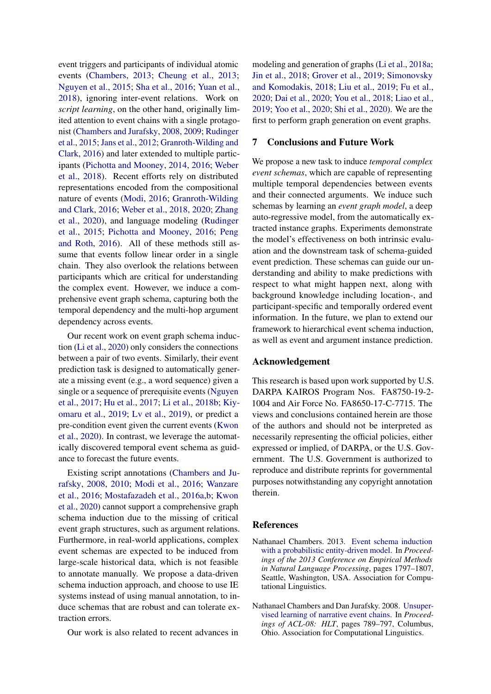event triggers and participants of individual atomic events [\(Chambers,](#page-8-0) [2013;](#page-8-0) [Cheung et al.,](#page-9-4) [2013;](#page-9-4) [Nguyen et al.,](#page-10-5) [2015;](#page-10-5) [Sha et al.,](#page-11-8) [2016;](#page-11-8) [Yuan et al.,](#page-12-0) [2018\)](#page-12-0), ignoring inter-event relations. Work on *script learning*, on the other hand, originally limited attention to event chains with a single protagonist [\(Chambers and Jurafsky,](#page-8-1) [2008,](#page-8-1) [2009;](#page-9-5) [Rudinger](#page-11-4) [et al.,](#page-11-4) [2015;](#page-11-4) [Jans et al.,](#page-9-6) [2012;](#page-9-6) [Granroth-Wilding and](#page-9-7) [Clark,](#page-9-7) [2016\)](#page-9-7) and later extended to multiple participants [\(Pichotta and Mooney,](#page-11-9) [2014,](#page-11-9) [2016;](#page-11-5) [Weber](#page-11-10) [et al.,](#page-11-10) [2018\)](#page-11-10). Recent efforts rely on distributed representations encoded from the compositional nature of events [\(Modi,](#page-10-6) [2016;](#page-10-6) [Granroth-Wilding](#page-9-7) [and Clark,](#page-9-7) [2016;](#page-9-7) [Weber et al.,](#page-11-10) [2018,](#page-11-10) [2020;](#page-11-11) [Zhang](#page-12-1) [et al.,](#page-12-1) [2020\)](#page-12-1), and language modeling [\(Rudinger](#page-11-4) [et al.,](#page-11-4) [2015;](#page-11-4) [Pichotta and Mooney,](#page-11-5) [2016;](#page-11-5) [Peng](#page-11-12) [and Roth,](#page-11-12) [2016\)](#page-11-12). All of these methods still assume that events follow linear order in a single chain. They also overlook the relations between participants which are critical for understanding the complex event. However, we induce a comprehensive event graph schema, capturing both the temporal dependency and the multi-hop argument dependency across events.

Our recent work on event graph schema induction [\(Li et al.,](#page-9-8) [2020\)](#page-9-8) only considers the connections between a pair of two events. Similarly, their event prediction task is designed to automatically generate a missing event (e.g., a word sequence) given a single or a sequence of prerequisite events [\(Nguyen](#page-10-7) [et al.,](#page-10-7) [2017;](#page-10-7) [Hu et al.,](#page-9-9) [2017;](#page-9-9) [Li et al.,](#page-10-8) [2018b;](#page-10-8) [Kiy](#page-9-10)[omaru et al.,](#page-9-10) [2019;](#page-9-10) [Lv et al.,](#page-10-9) [2019\)](#page-10-9), or predict a pre-condition event given the current events [\(Kwon](#page-9-11) [et al.,](#page-9-11) [2020\)](#page-9-11). In contrast, we leverage the automatically discovered temporal event schema as guidance to forecast the future events.

Existing script annotations [\(Chambers and Ju](#page-8-1)[rafsky,](#page-8-1) [2008,](#page-8-1) [2010;](#page-9-12) [Modi et al.,](#page-10-10) [2016;](#page-10-10) [Wanzare](#page-11-13) [et al.,](#page-11-13) [2016;](#page-11-13) [Mostafazadeh et al.,](#page-10-11) [2016a,](#page-10-11)[b;](#page-10-12) [Kwon](#page-9-11) [et al.,](#page-9-11) [2020\)](#page-9-11) cannot support a comprehensive graph schema induction due to the missing of critical event graph structures, such as argument relations. Furthermore, in real-world applications, complex event schemas are expected to be induced from large-scale historical data, which is not feasible to annotate manually. We propose a data-driven schema induction approach, and choose to use IE systems instead of using manual annotation, to induce schemas that are robust and can tolerate extraction errors.

Our work is also related to recent advances in

modeling and generation of graphs [\(Li et al.,](#page-10-13) [2018a;](#page-10-13) [Jin et al.,](#page-9-13) [2018;](#page-9-13) [Grover et al.,](#page-9-14) [2019;](#page-9-14) [Simonovsky](#page-11-14) [and Komodakis,](#page-11-14) [2018;](#page-11-14) [Liu et al.,](#page-10-14) [2019;](#page-10-14) [Fu et al.,](#page-9-15) [2020;](#page-9-15) [Dai et al.,](#page-9-16) [2020;](#page-9-16) [You et al.,](#page-11-15) [2018;](#page-11-15) [Liao et al.,](#page-10-3) [2019;](#page-10-3) [Yoo et al.,](#page-11-16) [2020;](#page-11-16) [Shi et al.,](#page-11-17) [2020\)](#page-11-17). We are the first to perform graph generation on event graphs.

# 7 Conclusions and Future Work

We propose a new task to induce *temporal complex event schemas*, which are capable of representing multiple temporal dependencies between events and their connected arguments. We induce such schemas by learning an *event graph model*, a deep auto-regressive model, from the automatically extracted instance graphs. Experiments demonstrate the model's effectiveness on both intrinsic evaluation and the downstream task of schema-guided event prediction. These schemas can guide our understanding and ability to make predictions with respect to what might happen next, along with background knowledge including location-, and participant-specific and temporally ordered event information. In the future, we plan to extend our framework to hierarchical event schema induction, as well as event and argument instance prediction.

#### Acknowledgement

This research is based upon work supported by U.S. DARPA KAIROS Program Nos. FA8750-19-2- 1004 and Air Force No. FA8650-17-C-7715. The views and conclusions contained herein are those of the authors and should not be interpreted as necessarily representing the official policies, either expressed or implied, of DARPA, or the U.S. Government. The U.S. Government is authorized to reproduce and distribute reprints for governmental purposes notwithstanding any copyright annotation therein.

#### References

- <span id="page-8-0"></span>Nathanael Chambers. 2013. [Event schema induction](https://www.aclweb.org/anthology/D13-1185) [with a probabilistic entity-driven model.](https://www.aclweb.org/anthology/D13-1185) In *Proceedings of the 2013 Conference on Empirical Methods in Natural Language Processing*, pages 1797–1807, Seattle, Washington, USA. Association for Computational Linguistics.
- <span id="page-8-1"></span>Nathanael Chambers and Dan Jurafsky. 2008. [Unsuper](https://www.aclweb.org/anthology/P08-1090)[vised learning of narrative event chains.](https://www.aclweb.org/anthology/P08-1090) In *Proceedings of ACL-08: HLT*, pages 789–797, Columbus, Ohio. Association for Computational Linguistics.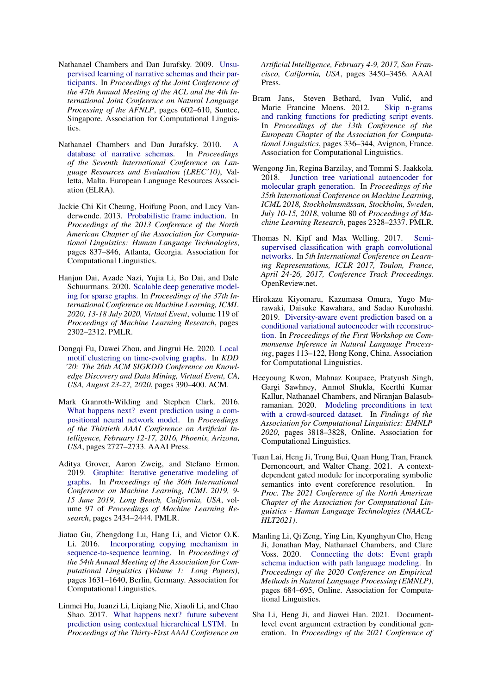- <span id="page-9-5"></span>Nathanael Chambers and Dan Jurafsky. 2009. [Unsu](https://www.aclweb.org/anthology/P09-1068)[pervised learning of narrative schemas and their par](https://www.aclweb.org/anthology/P09-1068)[ticipants.](https://www.aclweb.org/anthology/P09-1068) In *Proceedings of the Joint Conference of the 47th Annual Meeting of the ACL and the 4th International Joint Conference on Natural Language Processing of the AFNLP*, pages 602–610, Suntec, Singapore. Association for Computational Linguistics.
- <span id="page-9-12"></span>Nathanael Chambers and Dan Jurafsky. 2010. [A](http://www.lrec-conf.org/proceedings/lrec2010/pdf/58_Paper.pdf) [database of narrative schemas.](http://www.lrec-conf.org/proceedings/lrec2010/pdf/58_Paper.pdf) In *Proceedings of the Seventh International Conference on Language Resources and Evaluation (LREC'10)*, Valletta, Malta. European Language Resources Association (ELRA).
- <span id="page-9-4"></span>Jackie Chi Kit Cheung, Hoifung Poon, and Lucy Vanderwende. 2013. [Probabilistic frame induction.](https://www.aclweb.org/anthology/N13-1104) In *Proceedings of the 2013 Conference of the North American Chapter of the Association for Computational Linguistics: Human Language Technologies*, pages 837–846, Atlanta, Georgia. Association for Computational Linguistics.
- <span id="page-9-16"></span>Hanjun Dai, Azade Nazi, Yujia Li, Bo Dai, and Dale Schuurmans. 2020. [Scalable deep generative model](http://proceedings.mlr.press/v119/dai20b.html)[ing for sparse graphs.](http://proceedings.mlr.press/v119/dai20b.html) In *Proceedings of the 37th International Conference on Machine Learning, ICML 2020, 13-18 July 2020, Virtual Event*, volume 119 of *Proceedings of Machine Learning Research*, pages 2302–2312. PMLR.
- <span id="page-9-15"></span>Dongqi Fu, Dawei Zhou, and Jingrui He. 2020. [Local](https://dl.acm.org/doi/10.1145/3394486.3403081) [motif clustering on time-evolving graphs.](https://dl.acm.org/doi/10.1145/3394486.3403081) In *KDD '20: The 26th ACM SIGKDD Conference on Knowledge Discovery and Data Mining, Virtual Event, CA, USA, August 23-27, 2020*, pages 390–400. ACM.
- <span id="page-9-7"></span>Mark Granroth-Wilding and Stephen Clark. 2016. [What happens next? event prediction using a com](http://www.aaai.org/ocs/index.php/AAAI/AAAI16/paper/view/11995)[positional neural network model.](http://www.aaai.org/ocs/index.php/AAAI/AAAI16/paper/view/11995) In *Proceedings of the Thirtieth AAAI Conference on Artificial Intelligence, February 12-17, 2016, Phoenix, Arizona, USA*, pages 2727–2733. AAAI Press.
- <span id="page-9-14"></span>Aditya Grover, Aaron Zweig, and Stefano Ermon. 2019. [Graphite: Iterative generative modeling of](http://proceedings.mlr.press/v97/grover19a.html) [graphs.](http://proceedings.mlr.press/v97/grover19a.html) In *Proceedings of the 36th International Conference on Machine Learning, ICML 2019, 9- 15 June 2019, Long Beach, California, USA*, volume 97 of *Proceedings of Machine Learning Research*, pages 2434–2444. PMLR.
- <span id="page-9-2"></span>Jiatao Gu, Zhengdong Lu, Hang Li, and Victor O.K. Li. 2016. [Incorporating copying mechanism in](https://doi.org/10.18653/v1/P16-1154) [sequence-to-sequence learning.](https://doi.org/10.18653/v1/P16-1154) In *Proceedings of the 54th Annual Meeting of the Association for Computational Linguistics (Volume 1: Long Papers)*, pages 1631–1640, Berlin, Germany. Association for Computational Linguistics.
- <span id="page-9-9"></span>Linmei Hu, Juanzi Li, Liqiang Nie, Xiaoli Li, and Chao Shao. 2017. [What happens next? future subevent](http://aaai.org/ocs/index.php/AAAI/AAAI17/paper/view/14324) [prediction using contextual hierarchical LSTM.](http://aaai.org/ocs/index.php/AAAI/AAAI17/paper/view/14324) In *Proceedings of the Thirty-First AAAI Conference on*

*Artificial Intelligence, February 4-9, 2017, San Francisco, California, USA*, pages 3450–3456. AAAI Press.

- <span id="page-9-6"></span>Bram Jans, Steven Bethard, Ivan Vulic, and ´ Marie Francine Moens. 2012. [Skip n-grams](https://www.aclweb.org/anthology/E12-1034) [and ranking functions for predicting script events.](https://www.aclweb.org/anthology/E12-1034) In *Proceedings of the 13th Conference of the European Chapter of the Association for Computational Linguistics*, pages 336–344, Avignon, France. Association for Computational Linguistics.
- <span id="page-9-13"></span>Wengong Jin, Regina Barzilay, and Tommi S. Jaakkola. 2018. [Junction tree variational autoencoder for](http://proceedings.mlr.press/v80/jin18a.html) [molecular graph generation.](http://proceedings.mlr.press/v80/jin18a.html) In *Proceedings of the 35th International Conference on Machine Learning, ICML 2018, Stockholmsmassan, Stockholm, Sweden, ¨ July 10-15, 2018*, volume 80 of *Proceedings of Machine Learning Research*, pages 2328–2337. PMLR.
- <span id="page-9-1"></span>Thomas N. Kipf and Max Welling. 2017. [Semi](https://openreview.net/forum?id=SJU4ayYgl)[supervised classification with graph convolutional](https://openreview.net/forum?id=SJU4ayYgl) [networks.](https://openreview.net/forum?id=SJU4ayYgl) In *5th International Conference on Learning Representations, ICLR 2017, Toulon, France, April 24-26, 2017, Conference Track Proceedings*. OpenReview.net.
- <span id="page-9-10"></span>Hirokazu Kiyomaru, Kazumasa Omura, Yugo Murawaki, Daisuke Kawahara, and Sadao Kurohashi. 2019. [Diversity-aware event prediction based on a](https://doi.org/10.18653/v1/D19-6014) [conditional variational autoencoder with reconstruc](https://doi.org/10.18653/v1/D19-6014)[tion.](https://doi.org/10.18653/v1/D19-6014) In *Proceedings of the First Workshop on Commonsense Inference in Natural Language Processing*, pages 113–122, Hong Kong, China. Association for Computational Linguistics.
- <span id="page-9-11"></span>Heeyoung Kwon, Mahnaz Koupaee, Pratyush Singh, Gargi Sawhney, Anmol Shukla, Keerthi Kumar Kallur, Nathanael Chambers, and Niranjan Balasubramanian. 2020. [Modeling preconditions in text](https://doi.org/10.18653/v1/2020.findings-emnlp.340) [with a crowd-sourced dataset.](https://doi.org/10.18653/v1/2020.findings-emnlp.340) In *Findings of the Association for Computational Linguistics: EMNLP 2020*, pages 3818–3828, Online. Association for Computational Linguistics.
- <span id="page-9-0"></span>Tuan Lai, Heng Ji, Trung Bui, Quan Hung Tran, Franck Dernoncourt, and Walter Chang. 2021. A contextdependent gated module for incorporating symbolic semantics into event coreference resolution. In *Proc. The 2021 Conference of the North American Chapter of the Association for Computational Linguistics - Human Language Technologies (NAACL-HLT2021)*.
- <span id="page-9-8"></span>Manling Li, Qi Zeng, Ying Lin, Kyunghyun Cho, Heng Ji, Jonathan May, Nathanael Chambers, and Clare Voss. 2020. [Connecting the dots: Event graph](https://doi.org/10.18653/v1/2020.emnlp-main.50) [schema induction with path language modeling.](https://doi.org/10.18653/v1/2020.emnlp-main.50) In *Proceedings of the 2020 Conference on Empirical Methods in Natural Language Processing (EMNLP)*, pages 684–695, Online. Association for Computational Linguistics.
- <span id="page-9-3"></span>Sha Li, Heng Ji, and Jiawei Han. 2021. Documentlevel event argument extraction by conditional generation. In *Proceedings of the 2021 Conference of*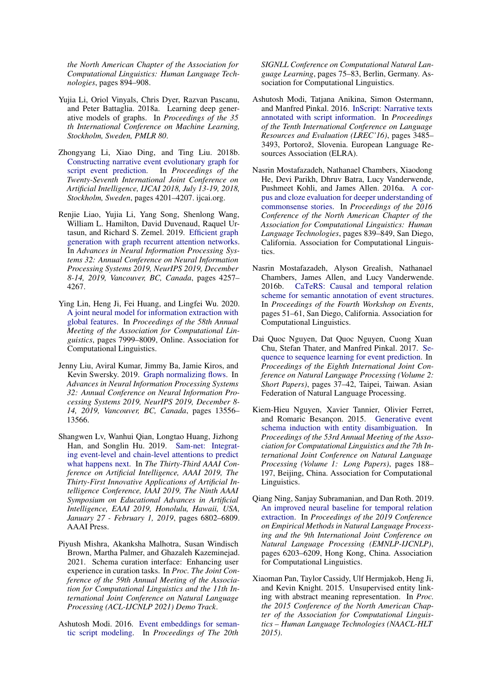*the North American Chapter of the Association for Computational Linguistics: Human Language Technologies*, pages 894–908.

- <span id="page-10-13"></span>Yujia Li, Oriol Vinyals, Chris Dyer, Razvan Pascanu, and Peter Battaglia. 2018a. Learning deep generative models of graphs. In *Proceedings of the 35 th International Conference on Machine Learning, Stockholm, Sweden, PMLR 80*.
- <span id="page-10-8"></span>Zhongyang Li, Xiao Ding, and Ting Liu. 2018b. [Constructing narrative event evolutionary graph for](https://doi.org/10.24963/ijcai.2018/584) [script event prediction.](https://doi.org/10.24963/ijcai.2018/584) In *Proceedings of the Twenty-Seventh International Joint Conference on Artificial Intelligence, IJCAI 2018, July 13-19, 2018, Stockholm, Sweden*, pages 4201–4207. ijcai.org.
- <span id="page-10-3"></span>Renjie Liao, Yujia Li, Yang Song, Shenlong Wang, William L. Hamilton, David Duvenaud, Raquel Urtasun, and Richard S. Zemel. 2019. [Efficient graph](https://proceedings.neurips.cc/paper/2019/hash/d0921d442ee91b896ad95059d13df618-Abstract.html) [generation with graph recurrent attention networks.](https://proceedings.neurips.cc/paper/2019/hash/d0921d442ee91b896ad95059d13df618-Abstract.html) In *Advances in Neural Information Processing Systems 32: Annual Conference on Neural Information Processing Systems 2019, NeurIPS 2019, December 8-14, 2019, Vancouver, BC, Canada*, pages 4257– 4267.
- <span id="page-10-0"></span>Ying Lin, Heng Ji, Fei Huang, and Lingfei Wu. 2020. [A joint neural model for information extraction with](https://doi.org/10.18653/v1/2020.acl-main.713) [global features.](https://doi.org/10.18653/v1/2020.acl-main.713) In *Proceedings of the 58th Annual Meeting of the Association for Computational Linguistics*, pages 7999–8009, Online. Association for Computational Linguistics.
- <span id="page-10-14"></span>Jenny Liu, Aviral Kumar, Jimmy Ba, Jamie Kiros, and Kevin Swersky. 2019. [Graph normalizing flows.](https://proceedings.neurips.cc/paper/2019/hash/1e44fdf9c44d7328fecc02d677ed704d-Abstract.html) In *Advances in Neural Information Processing Systems 32: Annual Conference on Neural Information Processing Systems 2019, NeurIPS 2019, December 8- 14, 2019, Vancouver, BC, Canada*, pages 13556– 13566.
- <span id="page-10-9"></span>Shangwen Lv, Wanhui Qian, Longtao Huang, Jizhong Han, and Songlin Hu. 2019. [Sam-net: Integrat](https://doi.org/10.1609/aaai.v33i01.33016802)[ing event-level and chain-level attentions to predict](https://doi.org/10.1609/aaai.v33i01.33016802) [what happens next.](https://doi.org/10.1609/aaai.v33i01.33016802) In *The Thirty-Third AAAI Conference on Artificial Intelligence, AAAI 2019, The Thirty-First Innovative Applications of Artificial Intelligence Conference, IAAI 2019, The Ninth AAAI Symposium on Educational Advances in Artificial Intelligence, EAAI 2019, Honolulu, Hawaii, USA, January 27 - February 1, 2019*, pages 6802–6809. AAAI Press.
- <span id="page-10-4"></span>Piyush Mishra, Akanksha Malhotra, Susan Windisch Brown, Martha Palmer, and Ghazaleh Kazeminejad. 2021. Schema curation interface: Enhancing user experience in curation tasks. In *Proc. The Joint Conference of the 59th Annual Meeting of the Association for Computational Linguistics and the 11th International Joint Conference on Natural Language Processing (ACL-IJCNLP 2021) Demo Track*.
- <span id="page-10-6"></span>Ashutosh Modi. 2016. [Event embeddings for seman](https://doi.org/10.18653/v1/K16-1008)[tic script modeling.](https://doi.org/10.18653/v1/K16-1008) In *Proceedings of The 20th*

*SIGNLL Conference on Computational Natural Language Learning*, pages 75–83, Berlin, Germany. Association for Computational Linguistics.

- <span id="page-10-10"></span>Ashutosh Modi, Tatjana Anikina, Simon Ostermann, and Manfred Pinkal. 2016. [InScript: Narrative texts](https://www.aclweb.org/anthology/L16-1555) [annotated with script information.](https://www.aclweb.org/anthology/L16-1555) In *Proceedings of the Tenth International Conference on Language Resources and Evaluation (LREC'16)*, pages 3485– 3493, Portorož, Slovenia. European Language Resources Association (ELRA).
- <span id="page-10-11"></span>Nasrin Mostafazadeh, Nathanael Chambers, Xiaodong He, Devi Parikh, Dhruv Batra, Lucy Vanderwende, Pushmeet Kohli, and James Allen. 2016a. [A cor](https://doi.org/10.18653/v1/N16-1098)[pus and cloze evaluation for deeper understanding of](https://doi.org/10.18653/v1/N16-1098) [commonsense stories.](https://doi.org/10.18653/v1/N16-1098) In *Proceedings of the 2016 Conference of the North American Chapter of the Association for Computational Linguistics: Human Language Technologies*, pages 839–849, San Diego, California. Association for Computational Linguistics.
- <span id="page-10-12"></span>Nasrin Mostafazadeh, Alyson Grealish, Nathanael Chambers, James Allen, and Lucy Vanderwende. 2016b. [CaTeRS: Causal and temporal relation](https://doi.org/10.18653/v1/W16-1007) [scheme for semantic annotation of event structures.](https://doi.org/10.18653/v1/W16-1007) In *Proceedings of the Fourth Workshop on Events*, pages 51–61, San Diego, California. Association for Computational Linguistics.
- <span id="page-10-7"></span>Dai Quoc Nguyen, Dat Quoc Nguyen, Cuong Xuan Chu, Stefan Thater, and Manfred Pinkal. 2017. [Se](https://www.aclweb.org/anthology/I17-2007)[quence to sequence learning for event prediction.](https://www.aclweb.org/anthology/I17-2007) In *Proceedings of the Eighth International Joint Conference on Natural Language Processing (Volume 2: Short Papers)*, pages 37–42, Taipei, Taiwan. Asian Federation of Natural Language Processing.
- <span id="page-10-5"></span>Kiem-Hieu Nguyen, Xavier Tannier, Olivier Ferret, and Romaric Besançon. 2015. [Generative event](https://doi.org/10.3115/v1/P15-1019) [schema induction with entity disambiguation.](https://doi.org/10.3115/v1/P15-1019) In *Proceedings of the 53rd Annual Meeting of the Association for Computational Linguistics and the 7th International Joint Conference on Natural Language Processing (Volume 1: Long Papers)*, pages 188– 197, Beijing, China. Association for Computational Linguistics.
- <span id="page-10-2"></span>Qiang Ning, Sanjay Subramanian, and Dan Roth. 2019. [An improved neural baseline for temporal relation](https://doi.org/10.18653/v1/D19-1642) [extraction.](https://doi.org/10.18653/v1/D19-1642) In *Proceedings of the 2019 Conference on Empirical Methods in Natural Language Processing and the 9th International Joint Conference on Natural Language Processing (EMNLP-IJCNLP)*, pages 6203–6209, Hong Kong, China. Association for Computational Linguistics.
- <span id="page-10-1"></span>Xiaoman Pan, Taylor Cassidy, Ulf Hermjakob, Heng Ji, and Kevin Knight. 2015. Unsupervised entity linking with abstract meaning representation. In *Proc. the 2015 Conference of the North American Chapter of the Association for Computational Linguistics – Human Language Technologies (NAACL-HLT 2015)*.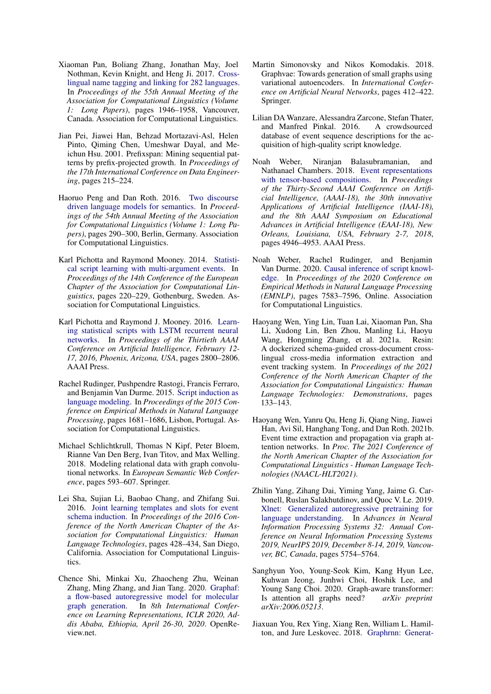- <span id="page-11-0"></span>Xiaoman Pan, Boliang Zhang, Jonathan May, Joel Nothman, Kevin Knight, and Heng Ji. 2017. [Cross](https://doi.org/10.18653/v1/P17-1178)[lingual name tagging and linking for 282 languages.](https://doi.org/10.18653/v1/P17-1178) In *Proceedings of the 55th Annual Meeting of the Association for Computational Linguistics (Volume 1: Long Papers)*, pages 1946–1958, Vancouver, Canada. Association for Computational Linguistics.
- <span id="page-11-6"></span>Jian Pei, Jiawei Han, Behzad Mortazavi-Asl, Helen Pinto, Qiming Chen, Umeshwar Dayal, and Meichun Hsu. 2001. Prefixspan: Mining sequential patterns by prefix-projected growth. In *Proceedings of the 17th International Conference on Data Engineering*, pages 215–224.
- <span id="page-11-12"></span>Haoruo Peng and Dan Roth. 2016. [Two discourse](https://doi.org/10.18653/v1/P16-1028) [driven language models for semantics.](https://doi.org/10.18653/v1/P16-1028) In *Proceedings of the 54th Annual Meeting of the Association for Computational Linguistics (Volume 1: Long Papers)*, pages 290–300, Berlin, Germany. Association for Computational Linguistics.
- <span id="page-11-9"></span>Karl Pichotta and Raymond Mooney. 2014. [Statisti](https://doi.org/10.3115/v1/E14-1024)[cal script learning with multi-argument events.](https://doi.org/10.3115/v1/E14-1024) In *Proceedings of the 14th Conference of the European Chapter of the Association for Computational Linguistics*, pages 220–229, Gothenburg, Sweden. Association for Computational Linguistics.
- <span id="page-11-5"></span>Karl Pichotta and Raymond J. Mooney. 2016. [Learn](http://www.aaai.org/ocs/index.php/AAAI/AAAI16/paper/view/12157)[ing statistical scripts with LSTM recurrent neural](http://www.aaai.org/ocs/index.php/AAAI/AAAI16/paper/view/12157) [networks.](http://www.aaai.org/ocs/index.php/AAAI/AAAI16/paper/view/12157) In *Proceedings of the Thirtieth AAAI Conference on Artificial Intelligence, February 12- 17, 2016, Phoenix, Arizona, USA*, pages 2800–2806. AAAI Press.
- <span id="page-11-4"></span>Rachel Rudinger, Pushpendre Rastogi, Francis Ferraro, and Benjamin Van Durme. 2015. [Script induction as](https://doi.org/10.18653/v1/D15-1195) [language modeling.](https://doi.org/10.18653/v1/D15-1195) In *Proceedings of the 2015 Conference on Empirical Methods in Natural Language Processing*, pages 1681–1686, Lisbon, Portugal. Association for Computational Linguistics.
- <span id="page-11-3"></span>Michael Schlichtkrull, Thomas N Kipf, Peter Bloem, Rianne Van Den Berg, Ivan Titov, and Max Welling. 2018. Modeling relational data with graph convolutional networks. In *European Semantic Web Conference*, pages 593–607. Springer.
- <span id="page-11-8"></span>Lei Sha, Sujian Li, Baobao Chang, and Zhifang Sui. 2016. [Joint learning templates and slots for event](https://doi.org/10.18653/v1/N16-1049) [schema induction.](https://doi.org/10.18653/v1/N16-1049) In *Proceedings of the 2016 Conference of the North American Chapter of the Association for Computational Linguistics: Human Language Technologies*, pages 428–434, San Diego, California. Association for Computational Linguistics.
- <span id="page-11-17"></span>Chence Shi, Minkai Xu, Zhaocheng Zhu, Weinan Zhang, Ming Zhang, and Jian Tang. 2020. [Graphaf:](https://openreview.net/forum?id=S1esMkHYPr) [a flow-based autoregressive model for molecular](https://openreview.net/forum?id=S1esMkHYPr) [graph generation.](https://openreview.net/forum?id=S1esMkHYPr) In *8th International Conference on Learning Representations, ICLR 2020, Addis Ababa, Ethiopia, April 26-30, 2020*. OpenReview.net.
- <span id="page-11-14"></span>Martin Simonovsky and Nikos Komodakis. 2018. Graphvae: Towards generation of small graphs using variational autoencoders. In *International Conference on Artificial Neural Networks*, pages 412–422. Springer.
- <span id="page-11-13"></span>Lilian DA Wanzare, Alessandra Zarcone, Stefan Thater, and Manfred Pinkal. 2016. A crowdsourced database of event sequence descriptions for the acquisition of high-quality script knowledge.
- <span id="page-11-10"></span>Noah Weber, Niranjan Balasubramanian, and Nathanael Chambers. 2018. [Event representations](https://www.aaai.org/ocs/index.php/AAAI/AAAI18/paper/view/17126) [with tensor-based compositions.](https://www.aaai.org/ocs/index.php/AAAI/AAAI18/paper/view/17126) In *Proceedings of the Thirty-Second AAAI Conference on Artificial Intelligence, (AAAI-18), the 30th innovative Applications of Artificial Intelligence (IAAI-18), and the 8th AAAI Symposium on Educational Advances in Artificial Intelligence (EAAI-18), New Orleans, Louisiana, USA, February 2-7, 2018*, pages 4946–4953. AAAI Press.
- <span id="page-11-11"></span>Noah Weber, Rachel Rudinger, and Benjamin Van Durme. 2020. [Causal inference of script knowl](https://doi.org/10.18653/v1/2020.emnlp-main.612)[edge.](https://doi.org/10.18653/v1/2020.emnlp-main.612) In *Proceedings of the 2020 Conference on Empirical Methods in Natural Language Processing (EMNLP)*, pages 7583–7596, Online. Association for Computational Linguistics.
- <span id="page-11-2"></span>Haoyang Wen, Ying Lin, Tuan Lai, Xiaoman Pan, Sha Li, Xudong Lin, Ben Zhou, Manling Li, Haoyu Wang, Hongming Zhang, et al. 2021a. Resin: A dockerized schema-guided cross-document crosslingual cross-media information extraction and event tracking system. In *Proceedings of the 2021 Conference of the North American Chapter of the Association for Computational Linguistics: Human Language Technologies: Demonstrations*, pages 133–143.
- <span id="page-11-1"></span>Haoyang Wen, Yanru Qu, Heng Ji, Qiang Ning, Jiawei Han, Avi Sil, Hanghang Tong, and Dan Roth. 2021b. Event time extraction and propagation via graph attention networks. In *Proc. The 2021 Conference of the North American Chapter of the Association for Computational Linguistics - Human Language Technologies (NAACL-HLT2021)*.
- <span id="page-11-7"></span>Zhilin Yang, Zihang Dai, Yiming Yang, Jaime G. Carbonell, Ruslan Salakhutdinov, and Quoc V. Le. 2019. [Xlnet: Generalized autoregressive pretraining for](https://proceedings.neurips.cc/paper/2019/hash/dc6a7e655d7e5840e66733e9ee67cc69-Abstract.html) [language understanding.](https://proceedings.neurips.cc/paper/2019/hash/dc6a7e655d7e5840e66733e9ee67cc69-Abstract.html) In *Advances in Neural Information Processing Systems 32: Annual Conference on Neural Information Processing Systems 2019, NeurIPS 2019, December 8-14, 2019, Vancouver, BC, Canada*, pages 5754–5764.
- <span id="page-11-16"></span>Sanghyun Yoo, Young-Seok Kim, Kang Hyun Lee, Kuhwan Jeong, Junhwi Choi, Hoshik Lee, and Young Sang Choi. 2020. Graph-aware transformer: Is attention all graphs need? *arXiv preprint arXiv:2006.05213*.
- <span id="page-11-15"></span>Jiaxuan You, Rex Ying, Xiang Ren, William L. Hamilton, and Jure Leskovec. 2018. [Graphrnn: Generat-](http://proceedings.mlr.press/v80/you18a.html)